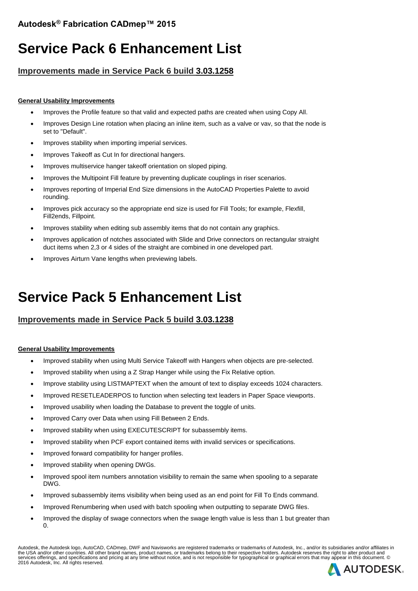# **Service Pack 6 Enhancement List**

## **Improvements made in Service Pack 6 build 3.03.1258**

### **General Usability Improvements**

- Improves the Profile feature so that valid and expected paths are created when using Copy All.
- Improves Design Line rotation when placing an inline item, such as a valve or vav, so that the node is set to "Default".
- Improves stability when importing imperial services.
- Improves Takeoff as Cut In for directional hangers.
- Improves multiservice hanger takeoff orientation on sloped piping.
- Improves the Multipoint Fill feature by preventing duplicate couplings in riser scenarios.
- Improves reporting of Imperial End Size dimensions in the AutoCAD Properties Palette to avoid rounding.
- Improves pick accuracy so the appropriate end size is used for Fill Tools; for example, Flexfill, Fill2ends, Fillpoint.
- Improves stability when editing sub assembly items that do not contain any graphics.
- Improves application of notches associated with Slide and Drive connectors on rectangular straight duct items when 2,3 or 4 sides of the straight are combined in one developed part.
- Improves Airturn Vane lengths when previewing labels.

# **Service Pack 5 Enhancement List**

## **Improvements made in Service Pack 5 build 3.03.1238**

### **General Usability Improvements**

- Improved stability when using Multi Service Takeoff with Hangers when objects are pre-selected.
- Improved stability when using a Z Strap Hanger while using the Fix Relative option.
- Improve stability using LISTMAPTEXT when the amount of text to display exceeds 1024 characters.
- Improved RESETLEADERPOS to function when selecting text leaders in Paper Space viewports.
- Improved usability when loading the Database to prevent the toggle of units.
- Improved Carry over Data when using Fill Between 2 Ends.
- Improved stability when using EXECUTESCRIPT for subassembly items.
- Improved stability when PCF export contained items with invalid services or specifications.
- Improved forward compatibility for hanger profiles.
- Improved stability when opening DWGs.
- Improved spool item numbers annotation visibility to remain the same when spooling to a separate DWG.
- Improved subassembly items visibility when being used as an end point for Fill To Ends command.
- Improved Renumbering when used with batch spooling when outputting to separate DWG files.
- Improved the display of swage connectors when the swage length value is less than 1 but greater than 0.

Autodesk, the Autodesk logo, AutoCAD, CADmep, DWF and Navisworks are registered trademarks or trademarks of Autodesk, Inc., and/or its subsidiaries and/or affiliates in the USA and/or other countries. All other brand names, product names, or trademarks belong to their respective holders. Autodesk reserves the right to alter product and<br>services offerings, and specifications and pricing a

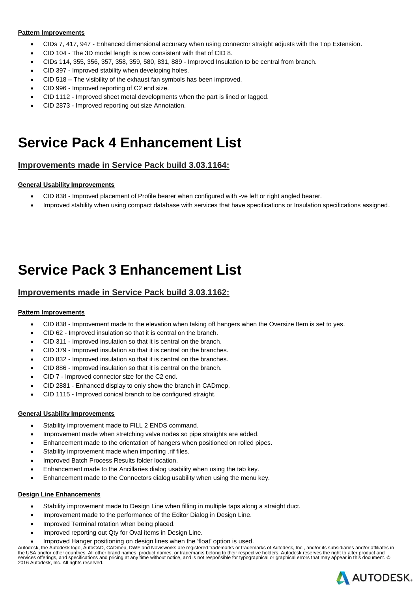#### **Pattern Improvements**

- CIDs 7, 417, 947 Enhanced dimensional accuracy when using connector straight adjusts with the Top Extension.
- CID 104 The 3D model length is now consistent with that of CID 8.
- CIDs 114, 355, 356, 357, 358, 359, 580, 831, 889 Improved Insulation to be central from branch.
- CID 397 Improved stability when developing holes.
- CID 518 The visibility of the exhaust fan symbols has been improved.
- CID 996 Improved reporting of C2 end size.
- CID 1112 Improved sheet metal developments when the part is lined or lagged.
- CID 2873 Improved reporting out size Annotation.

# **Service Pack 4 Enhancement List**

## **Improvements made in Service Pack build 3.03.1164:**

#### **General Usability Improvements**

- CID 838 Improved placement of Profile bearer when configured with -ve left or right angled bearer.
- Improved stability when using compact database with services that have specifications or Insulation specifications assigned.

# **Service Pack 3 Enhancement List**

### **Improvements made in Service Pack build 3.03.1162:**

### **Pattern Improvements**

- CID 838 Improvement made to the elevation when taking off hangers when the Oversize Item is set to yes.
- CID 62 Improved insulation so that it is central on the branch.
- CID 311 Improved insulation so that it is central on the branch.
- CID 379 Improved insulation so that it is central on the branches.
- CID 832 Improved insulation so that it is central on the branches.
- CID 886 Improved insulation so that it is central on the branch.
- CID 7 Improved connector size for the C2 end.
- CID 2881 Enhanced display to only show the branch in CADmep.
- CID 1115 Improved conical branch to be configured straight.

#### **General Usability Improvements**

- Stability improvement made to FILL 2 ENDS command.
- Improvement made when stretching valve nodes so pipe straights are added.
- Enhancement made to the orientation of hangers when positioned on rolled pipes.
- Stability improvement made when importing .rif files.
- Improved Batch Process Results folder location.
- Enhancement made to the Ancillaries dialog usability when using the tab key.
- Enhancement made to the Connectors dialog usability when using the menu key.

#### **Design Line Enhancements**

- Stability improvement made to Design Line when filling in multiple taps along a straight duct.
- Improvement made to the performance of the Editor Dialog in Design Line.
- Improved Terminal rotation when being placed.
- Improved reporting out Qty for Oval items in Design Line.
- Improved Hanger positioning on design lines when the 'float' option is used.

Autodesk, the Autodesk logo, AutoCAD, CADmep, DWF and Navisworks are registered trademarks or trademarks of Autodesk, Inc., and/or its subsidiaries and/or affiliates in the USA and/or other countries. All other brand names, product names, or trademarks belong to their respective holders. Autodesk reserves the right to alter product and<br>services offerings, and specifications and pricing at 2016 Autodesk, Inc. All rights reserved.

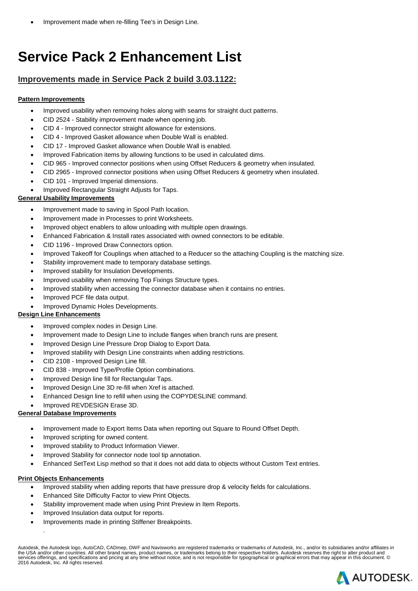Improvement made when re-filling Tee's in Design Line.

# **Service Pack 2 Enhancement List**

## **Improvements made in Service Pack 2 build 3.03.1122:**

### **Pattern Improvements**

- Improved usability when removing holes along with seams for straight duct patterns.
- CID 2524 Stability improvement made when opening job.
- CID 4 Improved connector straight allowance for extensions.
- CID 4 Improved Gasket allowance when Double Wall is enabled.
- CID 17 Improved Gasket allowance when Double Wall is enabled.
- Improved Fabrication items by allowing functions to be used in calculated dims.
- CID 965 Improved connector positions when using Offset Reducers & geometry when insulated.
- CID 2965 Improved connector positions when using Offset Reducers & geometry when insulated.
- CID 101 Improved Imperial dimensions.
- Improved Rectangular Straight Adjusts for Taps.

### **General Usability Improvements**

- Improvement made to saving in Spool Path location.
- Improvement made in Processes to print Worksheets.
- Improved object enablers to allow unloading with multiple open drawings.
- Enhanced Fabrication & Install rates associated with owned connectors to be editable.
- CID 1196 Improved Draw Connectors option.
- Improved Takeoff for Couplings when attached to a Reducer so the attaching Coupling is the matching size.
- Stability improvement made to temporary database settings.
- Improved stability for Insulation Developments.
- Improved usability when removing Top Fixings Structure types.
- Improved stability when accessing the connector database when it contains no entries.
- Improved PCF file data output.
- Improved Dynamic Holes Developments.

### **Design Line Enhancements**

- Improved complex nodes in Design Line.
- Improvement made to Design Line to include flanges when branch runs are present.
- Improved Design Line Pressure Drop Dialog to Export Data.
- Improved stability with Design Line constraints when adding restrictions.
- CID 2108 Improved Design Line fill.
- CID 838 Improved Type/Profile Option combinations.
- Improved Design line fill for Rectangular Taps.
- Improved Design Line 3D re-fill when Xref is attached.
- Enhanced Design line to refill when using the COPYDESLINE command.
- Improved REVDESIGN Erase 3D.

### **General Database Improvements**

- Improvement made to Export Items Data when reporting out Square to Round Offset Depth.
- Improved scripting for owned content.
- Improved stability to Product Information Viewer.
- Improved Stability for connector node tool tip annotation.
- Enhanced SetText Lisp method so that it does not add data to objects without Custom Text entries.

#### **Print Objects Enhancements**

.

- Improved stability when adding reports that have pressure drop & velocity fields for calculations.
- Enhanced Site Difficulty Factor to view Print Objects.
- Stability improvement made when using Print Preview in Item Reports.
- Improved Insulation data output for reports.
- Improvements made in printing Stiffener Breakpoints.

Autodesk, the Autodesk logo, AutoCAD, CADmep, DWF and Navisworks are registered trademarks or trademarks of Autodesk, Inc., and/or its subsidiaries and/or affiliates in the USA and/or other countries. All other brand names, product names, or trademarks belong to their respective holders. Autodesk reserves the right to alter product and<br>services offerings, and specifications and pricing at